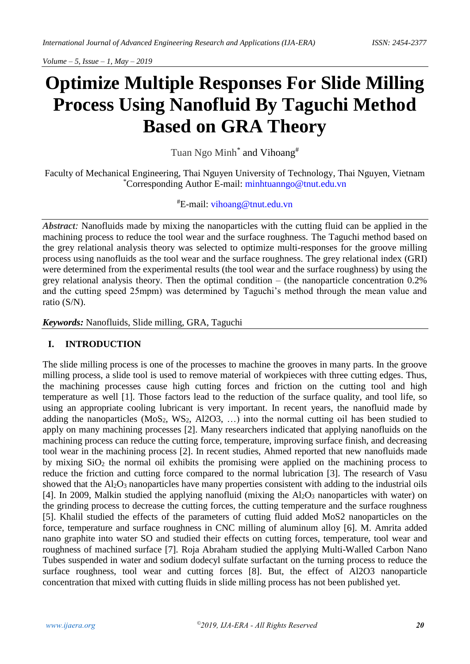# **Optimize Multiple Responses For Slide Milling Process Using Nanofluid By Taguchi Method Based on GRA Theory**

Tuan Ngo Minh<sup>\*</sup> and Vihoang<sup>#</sup>

Faculty of Mechanical Engineering, Thai Nguyen University of Technology, Thai Nguyen, Vietnam \*Corresponding Author E-mail: [minhtuanngo@tnut.edu.vn](mailto:minhtuanngo@tnut.edu.vn)

## #E-mail: [vihoang@tnut.edu.vn](mailto:vihoang@tnut.edu.vn)

*Abstract:* Nanofluids made by mixing the nanoparticles with the cutting fluid can be applied in the machining process to reduce the tool wear and the surface roughness. The Taguchi method based on the grey relational analysis theory was selected to optimize multi-responses for the groove milling process using nanofluids as the tool wear and the surface roughness. The grey relational index (GRI) were determined from the experimental results (the tool wear and the surface roughness) by using the grey relational analysis theory. Then the optimal condition – (the nanoparticle concentration 0.2% and the cutting speed 25mpm) was determined by Taguchi's method through the mean value and ratio (S/N).

*Keywords:* Nanofluids, Slide milling, GRA, Taguchi

## **I. INTRODUCTION**

The slide milling process is one of the processes to machine the grooves in many parts. In the groove milling process, a slide tool is used to remove material of workpieces with three cutting edges. Thus, the machining processes cause high cutting forces and friction on the cutting tool and high temperature as well [\[1\].](#page-7-0) Those factors lead to the reduction of the surface quality, and tool life, so using an appropriate cooling lubricant is very important. In recent years, the nanofluid made by adding the nanoparticles  $(MoS_2, WS_2, A12O3, ...)$  into the normal cutting oil has been studied to apply on many machining processes [\[2\].](#page-8-0) Many researchers indicated that applying nanofluids on the machining process can reduce the cutting force, temperature, improving surface finish, and decreasing tool wear in the machining process [\[2\].](#page-8-0) In recent studies, Ahmed reported that new nanofluids made by mixing SiO<sup>2</sup> the normal oil exhibits the promising were applied on the machining process to reduce the friction and cutting force compared to the normal lubrication [\[3\].](#page-8-1) The research of Vasu showed that the  $Al_2O_3$  nanoparticles have many properties consistent with adding to the industrial oils [\[4\].](#page-8-2) In 2009, Malkin studied the applying nanofluid (mixing the  $Al_2O_3$  nanoparticles with water) on the grinding process to decrease the cutting forces, the cutting temperature and the surface roughness [\[5\].](#page-8-3) Khalil studied the effects of the parameters of cutting fluid added MoS2 nanoparticles on the force, temperature and surface roughness in CNC milling of aluminum alloy [\[6\].](#page-8-4) M. Amrita added nano graphite into water SO and studied their effects on cutting forces, temperature, tool wear and roughness of machined surface [\[7\].](#page-8-5) Roja Abraham studied the applying Multi-Walled Carbon Nano Tubes suspended in water and sodium dodecyl sulfate surfactant on the turning process to reduce the surface roughness, tool wear and cutting forces [\[8\].](#page-8-6) But, the effect of Al2O3 nanoparticle concentration that mixed with cutting fluids in slide milling process has not been published yet.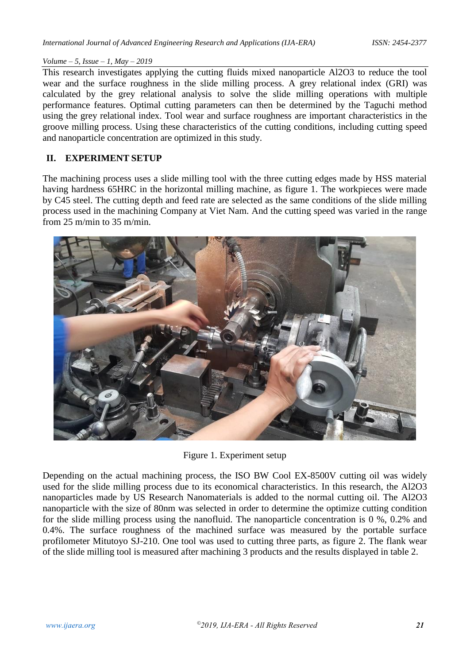This research investigates applying the cutting fluids mixed nanoparticle Al2O3 to reduce the tool wear and the surface roughness in the slide milling process. A grey relational index (GRI) was calculated by the grey relational analysis to solve the slide milling operations with multiple performance features. Optimal cutting parameters can then be determined by the Taguchi method using the grey relational index. Tool wear and surface roughness are important characteristics in the groove milling process. Using these characteristics of the cutting conditions, including cutting speed and nanoparticle concentration are optimized in this study.

# **II. EXPERIMENT SETUP**

The machining process uses a slide milling tool with the three cutting edges made by HSS material having hardness 65HRC in the horizontal milling machine, as figure 1. The workpieces were made by C45 steel. The cutting depth and feed rate are selected as the same conditions of the slide milling process used in the machining Company at Viet Nam. And the cutting speed was varied in the range from 25 m/min to 35 m/min.



Figure 1. Experiment setup

Depending on the actual machining process, the ISO BW Cool EX-8500V cutting oil was widely used for the slide milling process due to its economical characteristics. In this research, the Al2O3 nanoparticles made by US Research Nanomaterials is added to the normal cutting oil. The Al2O3 nanoparticle with the size of 80nm was selected in order to determine the optimize cutting condition for the slide milling process using the nanofluid. The nanoparticle concentration is 0 %, 0.2% and 0.4%. The surface roughness of the machined surface was measured by the portable surface profilometer Mitutoyo SJ-210. One tool was used to cutting three parts, as figure 2. The flank wear of the slide milling tool is measured after machining 3 products and the results displayed in table 2.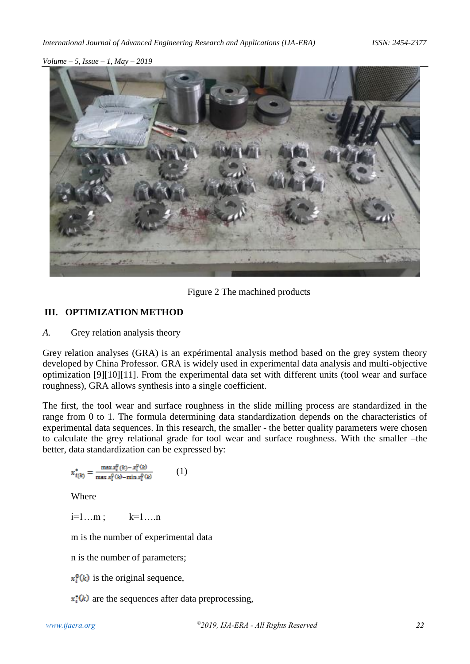

Figure 2 The machined products

### **III. OPTIMIZATION METHOD**

*A.* Grey relation analysis theory

Grey relation analyses (GRA) is an expérimental analysis method based on the grey system theory developed by China Professor. GRA is widely used in experimental data analysis and multi-objective optimization [\[9\]](#page-8-7)[\[10\]](#page-8-8)[\[11\].](#page-8-9) From the experimental data set with different units (tool wear and surface roughness), GRA allows synthesis into a single coefficient.

The first, the tool wear and surface roughness in the slide milling process are standardized in the range from 0 to 1. The formula determining data standardization depends on the characteristics of experimental data sequences. In this research, the smaller - the better quality parameters were chosen to calculate the grey relational grade for tool wear and surface roughness. With the smaller –the better, data standardization can be expressed by:

$$
x_{i(k)}^* = \frac{\max x_i^0(k) - x_i^0(k)}{\max x_i^0(k) - \min x_i^0(k)} \tag{1}
$$

Where

$$
i=1...m\,;\qquad k=1...n
$$

m is the number of experimental data

n is the number of parameters;

 $x_i^0(k)$  is the original sequence,

 $x_i^*(k)$  are the sequences after data preprocessing,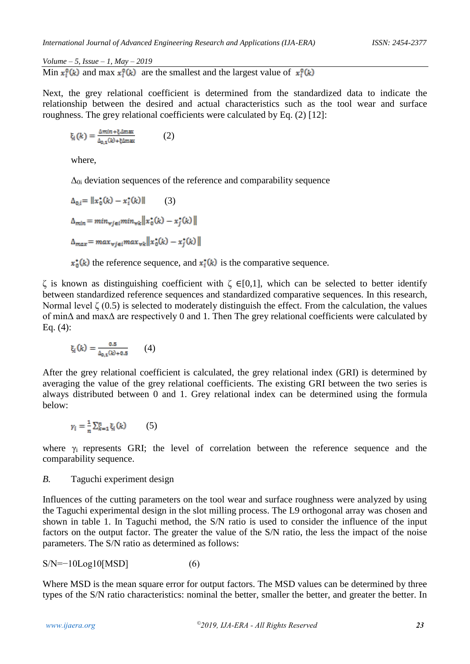Min  $x_i^0(k)$  and max  $x_i^0(k)$  are the smallest and the largest value of  $x_i^0(k)$ 

Next, the grey relational coefficient is determined from the standardized data to indicate the relationship between the desired and actual characteristics such as the tool wear and surface roughness. The grey relational coefficients were calculated by Eq. (2) [\[12\]:](#page-8-10)

$$
\xi_i(k) = \frac{\Delta \min + \xi \Delta \max}{\Delta_{0,1}(k) + \xi \Delta \max} \tag{2}
$$

where,

 $\Delta_{0i}$  deviation sequences of the reference and comparability sequence

$$
\Delta_{0,i} = ||x_{0}^{*}(k) - x_{i}^{*}(k)||
$$
\n
$$
\Delta_{min} = min_{\forall j \in i} min_{\forall k} ||x_{0}^{*}(k) - x_{j}^{*}(k)||
$$
\n
$$
\Delta_{max} = max_{\forall j \in i} max_{\forall k} ||x_{0}^{*}(k) - x_{j}^{*}(k)||
$$

 $x_0^*(k)$  the reference sequence, and  $x_i^*(k)$  is the comparative sequence.

ζ is known as distinguishing coefficient with ζ ∈[0,1], which can be selected to better identify between standardized reference sequences and standardized comparative sequences. In this research, Normal level ζ  $(0.5)$  is selected to moderately distinguish the effect. From the calculation, the values of minΔ and maxΔ are respectively 0 and 1. Then The grey relational coefficients were calculated by Eq. (4):

$$
\xi_i(k) = \frac{0.5}{\Delta_{0,1}(k) + 0.5} \qquad (4)
$$

After the grey relational coefficient is calculated, the grey relational index (GRI) is determined by averaging the value of the grey relational coefficients. The existing GRI between the two series is always distributed between 0 and 1. Grey relational index can be determined using the formula below:

$$
\gamma_i = \frac{1}{n} \sum_{k=1}^n \xi_i(k) \qquad (5)
$$

where  $\gamma_i$  represents GRI; the level of correlation between the reference sequence and the comparability sequence.

### *B.* Taguchi experiment design

Influences of the cutting parameters on the tool wear and surface roughness were analyzed by using the Taguchi experimental design in the slot milling process. The L9 orthogonal array was chosen and shown in table 1. In Taguchi method, the S/N ratio is used to consider the influence of the input factors on the output factor. The greater the value of the S/N ratio, the less the impact of the noise parameters. The S/N ratio as determined as follows:

$$
S/N = -10Log10[MSD]
$$
 (6)

Where MSD is the mean square error for output factors. The MSD values can be determined by three types of the S/N ratio characteristics: nominal the better, smaller the better, and greater the better. In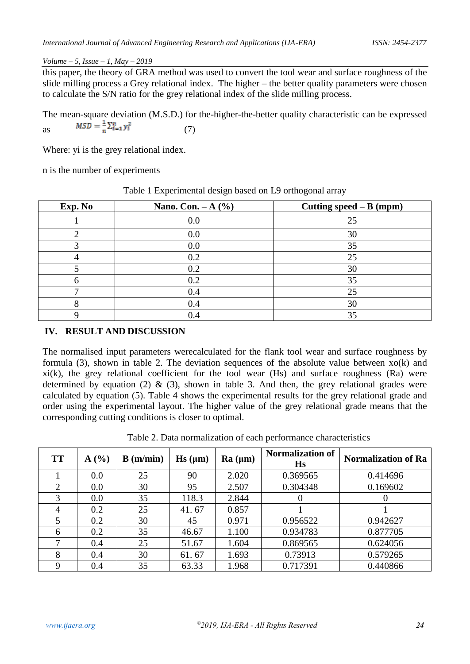this paper, the theory of GRA method was used to convert the tool wear and surface roughness of the slide milling process a Grey relational index. The higher – the better quality parameters were chosen to calculate the S/N ratio for the grey relational index of the slide milling process.

The mean-square deviation (M.S.D.) for the-higher-the-better quality characteristic can be expressed as  $MSD = \frac{1}{n} \sum_{i=1}^{n} y_i^2$  (7)

Where: yi is the grey relational index.

n is the number of experiments

|         | $\overline{\phantom{a}}$<br>ັ | ັ                         |
|---------|-------------------------------|---------------------------|
| Exp. No | Nano. Con. $-A$ (%)           | Cutting $speed - B (mpm)$ |
|         | 0.0                           | 25                        |
|         | 0.0                           | 30                        |
|         | 0.0                           | 35                        |
|         | 0.2                           | 25                        |
|         | 0.2                           | 30                        |
|         | 0.2                           | 35                        |
|         | 0.4                           | 25                        |
|         | 0.4                           | 30                        |
|         |                               | 35                        |

Table 1 Experimental design based on L9 orthogonal array

## **IV. RESULT AND DISCUSSION**

The normalised input parameters werecalculated for the flank tool wear and surface roughness by formula (3), shown in table 2. The deviation sequences of the absolute value between  $xo(k)$  and  $x$ i(k), the grey relational coefficient for the tool wear (Hs) and surface roughness (Ra) were determined by equation (2)  $\&$  (3), shown in table 3. And then, the grey relational grades were calculated by equation (5). Table 4 shows the experimental results for the grey relational grade and order using the experimental layout. The higher value of the grey relational grade means that the corresponding cutting conditions is closer to optimal.

| <b>TT</b>                   | $\mathbf{A}$ (%) | B(m/min) | $\mathbf{H}\mathbf{s}$ ( $\mu$ m) | Ra (µm) | <b>Normalization of</b><br>Hs | <b>Normalization of Ra</b> |
|-----------------------------|------------------|----------|-----------------------------------|---------|-------------------------------|----------------------------|
|                             | 0.0              | 25       | 90                                | 2.020   | 0.369565                      | 0.414696                   |
| $\mathcal{D}_{\mathcal{L}}$ | 0.0              | 30       | 95                                | 2.507   | 0.304348                      | 0.169602                   |
| 3                           | 0.0              | 35       | 118.3                             | 2.844   | $\theta$                      | $\theta$                   |
| 4                           | 0.2              | 25       | 41.67                             | 0.857   |                               |                            |
|                             | 0.2              | 30       | 45                                | 0.971   | 0.956522                      | 0.942627                   |
| 6                           | 0.2              | 35       | 46.67                             | 1.100   | 0.934783                      | 0.877705                   |
| 7                           | 0.4              | 25       | 51.67                             | 1.604   | 0.869565                      | 0.624056                   |
| 8                           | 0.4              | 30       | 61.67                             | 1.693   | 0.73913                       | 0.579265                   |
| 9                           | 0.4              | 35       | 63.33                             | 1.968   | 0.717391                      | 0.440866                   |

Table 2. Data normalization of each performance characteristics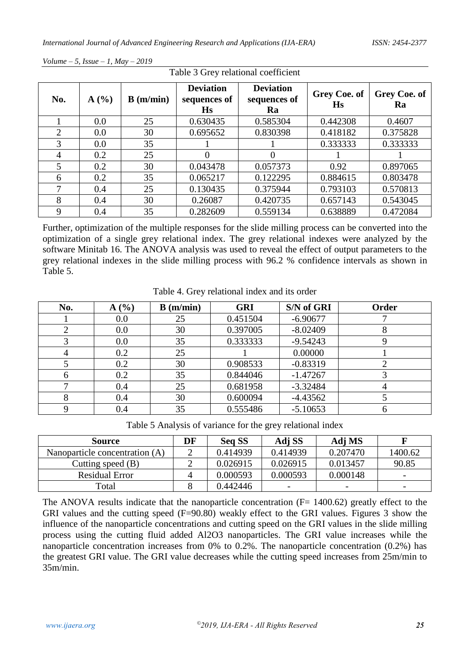| Table 3 Grey relational coefficient |      |          |                                               |                                        |                           |                           |
|-------------------------------------|------|----------|-----------------------------------------------|----------------------------------------|---------------------------|---------------------------|
| No.                                 | A(%) | B(m/min) | <b>Deviation</b><br>sequences of<br><b>Hs</b> | <b>Deviation</b><br>sequences of<br>Ra | Grey Coe. of<br><b>Hs</b> | <b>Grey Coe. of</b><br>Ra |
|                                     | 0.0  | 25       | 0.630435                                      | 0.585304                               | 0.442308                  | 0.4607                    |
| 2                                   | 0.0  | 30       | 0.695652                                      | 0.830398                               | 0.418182                  | 0.375828                  |
| 3                                   | 0.0  | 35       |                                               |                                        | 0.333333                  | 0.333333                  |
| $\overline{4}$                      | 0.2  | 25       | 0                                             | $\theta$                               |                           |                           |
| 5                                   | 0.2  | 30       | 0.043478                                      | 0.057373                               | 0.92                      | 0.897065                  |
| 6                                   | 0.2  | 35       | 0.065217                                      | 0.122295                               | 0.884615                  | 0.803478                  |
| 7                                   | 0.4  | 25       | 0.130435                                      | 0.375944                               | 0.793103                  | 0.570813                  |
| 8                                   | 0.4  | 30       | 0.26087                                       | 0.420735                               | 0.657143                  | 0.543045                  |
| 9                                   | 0.4  | 35       | 0.282609                                      | 0.559134                               | 0.638889                  | 0.472084                  |

Further, optimization of the multiple responses for the slide milling process can be converted into the optimization of a single grey relational index. The grey relational indexes were analyzed by the software Minitab 16. The ANOVA analysis was used to reveal the effect of output parameters to the grey relational indexes in the slide milling process with 96.2 % confidence intervals as shown in Table 5.

| No. | A(%) | B(m/min) | <b>GRI</b> | S/N of GRI | Order |
|-----|------|----------|------------|------------|-------|
|     | 0.0  | 25       | 0.451504   | $-6.90677$ |       |
|     | 0.0  | 30       | 0.397005   | $-8.02409$ |       |
|     | 0.0  | 35       | 0.333333   | $-9.54243$ |       |
|     | 0.2  | 25       |            | 0.00000    |       |
|     | 0.2  | 30       | 0.908533   | $-0.83319$ |       |
|     | 0.2  | 35       | 0.844046   | $-1.47267$ |       |
|     | 0.4  | 25       | 0.681958   | $-3.32484$ |       |
| Ω   | 0.4  | 30       | 0.600094   | $-4.43562$ |       |
|     | 0.4  | 35       | 0.555486   | $-5.10653$ |       |

Table 4. Grey relational index and its order

Table 5 Analysis of variance for the grey relational index

| <b>Source</b>                  | DF | <b>Seq SS</b> | Adj SS                   | Adj MS                   |                          |
|--------------------------------|----|---------------|--------------------------|--------------------------|--------------------------|
| Nanoparticle concentration (A) |    | 0.414939      | 0.414939                 | 0.207470                 | 1400.62                  |
| Cutting speed $(B)$            |    | 0.026915      | 0.026915                 | 0.013457                 | 90.85                    |
| <b>Residual Error</b>          | 4  | 0.000593      | 0.000593                 | 0.000148                 | -                        |
| Total                          |    | 0.442446      | $\overline{\phantom{0}}$ | $\overline{\phantom{0}}$ | $\overline{\phantom{0}}$ |

The ANOVA results indicate that the nanoparticle concentration  $(F= 1400.62)$  greatly effect to the GRI values and the cutting speed (F=90.80) weakly effect to the GRI values. Figures 3 show the influence of the nanoparticle concentrations and cutting speed on the GRI values in the slide milling process using the cutting fluid added Al2O3 nanoparticles. The GRI value increases while the nanoparticle concentration increases from 0% to 0.2%. The nanoparticle concentration (0.2%) has the greatest GRI value. The GRI value decreases while the cutting speed increases from 25m/min to 35m/min.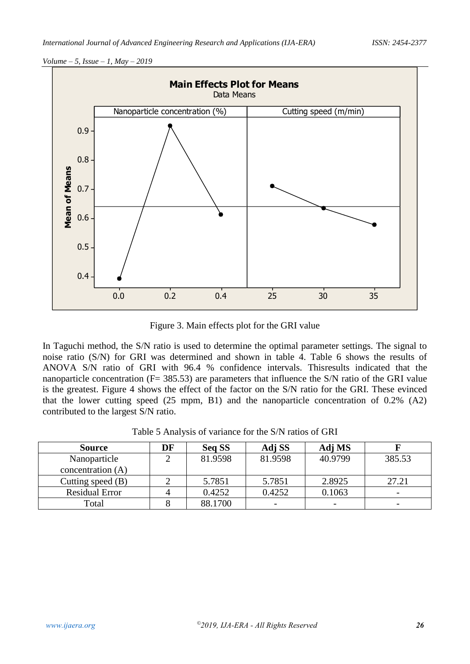

Figure 3. Main effects plot for the GRI value

In Taguchi method, the S/N ratio is used to determine the optimal parameter settings. The signal to noise ratio (S/N) for GRI was determined and shown in table 4. Table 6 shows the results of ANOVA S/N ratio of GRI with 96.4 % confidence intervals. Thisresults indicated that the nanoparticle concentration ( $F = 385.53$ ) are parameters that influence the S/N ratio of the GRI value is the greatest. Figure 4 shows the effect of the factor on the S/N ratio for the GRI. These evinced that the lower cutting speed (25 mpm, B1) and the nanoparticle concentration of 0.2% (A2) contributed to the largest S/N ratio.

Table 5 Analysis of variance for the S/N ratios of GRI

| <b>Source</b>         | DF | <b>Seq SS</b> | Adj SS  | Adj MS                   |                          |
|-----------------------|----|---------------|---------|--------------------------|--------------------------|
| Nanoparticle          |    | 81.9598       | 81.9598 | 40.9799                  | 385.53                   |
| concentration (A)     |    |               |         |                          |                          |
| Cutting speed $(B)$   |    | 5.7851        | 5.7851  | 2.8925                   | 27.21                    |
| <b>Residual Error</b> |    | 0.4252        | 0.4252  | 0.1063                   | $\overline{\phantom{a}}$ |
| Total                 |    | 88.1700       |         | $\overline{\phantom{0}}$ | $\overline{\phantom{0}}$ |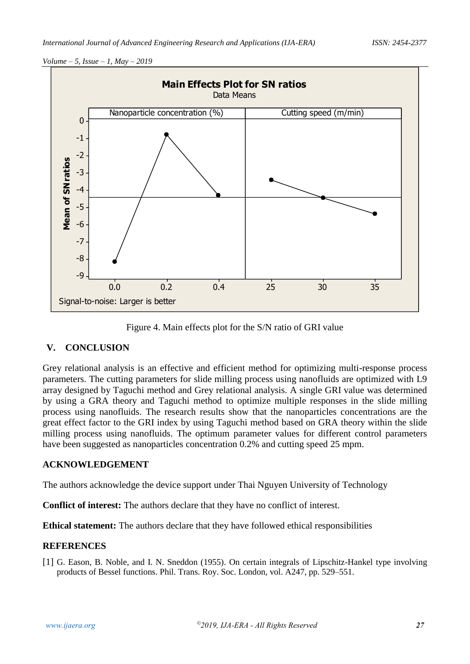

Figure 4. Main effects plot for the S/N ratio of GRI value

### **V. CONCLUSION**

Grey relational analysis is an effective and efficient method for optimizing multi-response process parameters. The cutting parameters for slide milling process using nanofluids are optimized with L9 array designed by Taguchi method and Grey relational analysis. A single GRI value was determined by using a GRA theory and Taguchi method to optimize multiple responses in the slide milling process using nanofluids. The research results show that the nanoparticles concentrations are the great effect factor to the GRI index by using Taguchi method based on GRA theory within the slide milling process using nanofluids. The optimum parameter values for different control parameters have been suggested as nanoparticles concentration 0.2% and cutting speed 25 mpm.

### **ACKNOWLEDGEMENT**

The authors acknowledge the device support under Thai Nguyen University of Technology

**Conflict of interest:** The authors declare that they have no conflict of interest.

**Ethical statement:** The authors declare that they have followed ethical responsibilities

### **REFERENCES**

<span id="page-7-0"></span>[1] G. Eason, B. Noble, and I. N. Sneddon (1955). On certain integrals of Lipschitz-Hankel type involving products of Bessel functions. Phil. Trans. Roy. Soc. London, vol. A247, pp. 529–551.